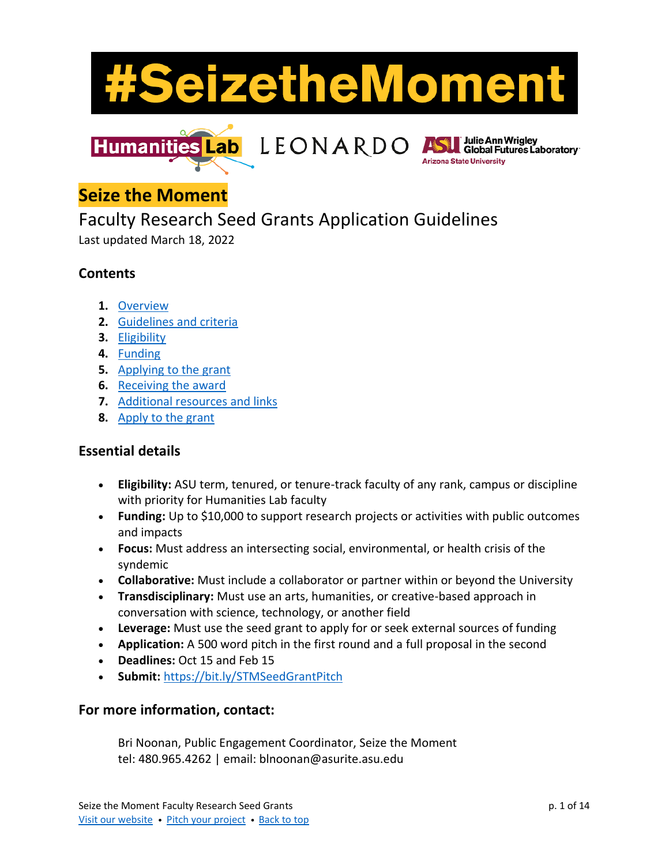



**Julie Ann Wrigley** Global Futures Laboratory **Arizona State University** 

# <span id="page-0-0"></span>**Seize the Moment**

# Faculty Research Seed Grants Application Guidelines

Last updated March 18, 2022

## **Contents**

- **1.** [Overview](#page-1-0)
- **2.** [Guidelines and criteria](#page-2-0)
- **3.** [Eligibility](#page-4-0)
- **4.** [Funding](#page-6-0)
- **5.** [Applying to the grant](#page-7-0)
- **6.** [Receiving the award](#page-11-0)
- **7.** [Additional resources and links](#page-13-0)
- **8.** [Apply to the grant](https://bit.ly/STMSeedGrantPitch)

## **Essential details**

- **Eligibility:** ASU term, tenured, or tenure-track faculty of any rank, campus or discipline with priority for Humanities Lab faculty
- **Funding:** Up to \$10,000 to support research projects or activities with public outcomes and impacts
- **Focus:** Must address an intersecting social, environmental, or health crisis of the syndemic
- **Collaborative:** Must include a collaborator or partner within or beyond the University
- **Transdisciplinary:** Must use an arts, humanities, or creative-based approach in conversation with science, technology, or another field
- **Leverage:** Must use the seed grant to apply for or seek external sources of funding
- **Application:** A 500 word pitch in the first round and a full proposal in the second
- **Deadlines:** Oct 15 and Feb 15
- **Submit:** <https://bit.ly/STMSeedGrantPitch>

#### **For more information, contact:**

Bri Noonan, Public Engagement Coordinator, Seize the Moment tel: 480.965.4262 | email: blnoonan@asurite.asu.edu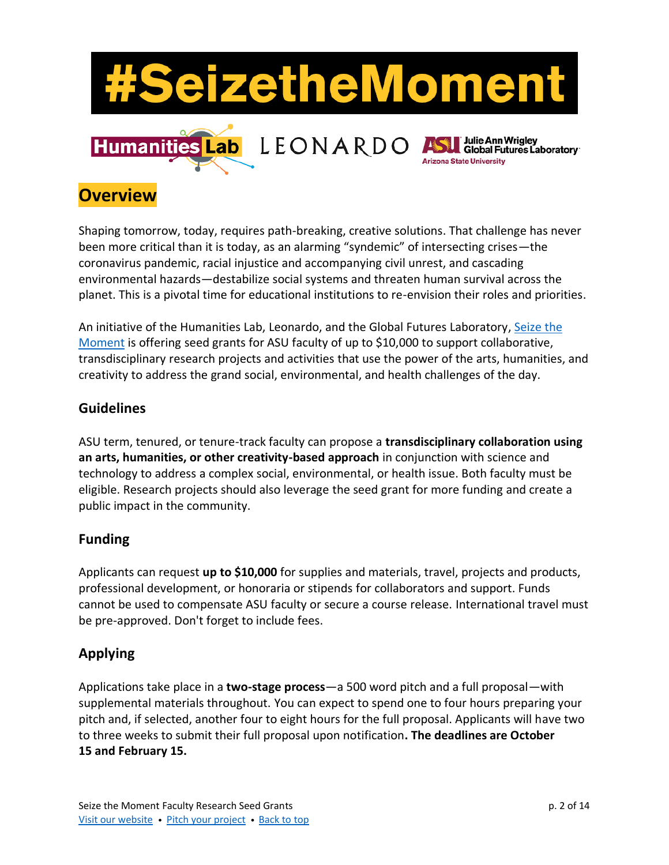

# <span id="page-1-0"></span>**Overview**

Shaping tomorrow, today, requires path-breaking, creative solutions. That challenge has never been more critical than it is today, as an alarming "syndemic" of intersecting crises—the coronavirus pandemic, racial injustice and accompanying civil unrest, and cascading environmental hazards—destabilize social systems and threaten human survival across the planet. This is a pivotal time for educational institutions to re-envision their roles and priorities.

An initiative of the Humanities Lab, Leonardo, and the Global Futures Laboratory, [Seize the](http://bit.ly/SeizetheMomentASU)  [Moment](http://bit.ly/SeizetheMomentASU) is offering seed grants for ASU faculty of up to \$10,000 to support collaborative, transdisciplinary research projects and activities that use the power of the arts, humanities, and creativity to address the grand social, environmental, and health challenges of the day.

#### **Guidelines**

ASU term, tenured, or tenure-track faculty can propose a **transdisciplinary collaboration using an arts, humanities, or other creativity-based approach** in conjunction with science and technology to address a complex social, environmental, or health issue. Both faculty must be eligible. Research projects should also leverage the seed grant for more funding and create a public impact in the community.

## **Funding**

Applicants can request **up to \$10,000** for supplies and materials, travel, projects and products, professional development, or honoraria or stipends for collaborators and support. Funds cannot be used to compensate ASU faculty or secure a course release. International travel must be pre-approved. Don't forget to include fees.

## **Applying**

Applications take place in a **two-stage process**—a 500 word pitch and a full proposal—with supplemental materials throughout. You can expect to spend one to four hours preparing your pitch and, if selected, another four to eight hours for the full proposal. Applicants will have two to three weeks to submit their full proposal upon notification**. The deadlines are October 15 and February 15.**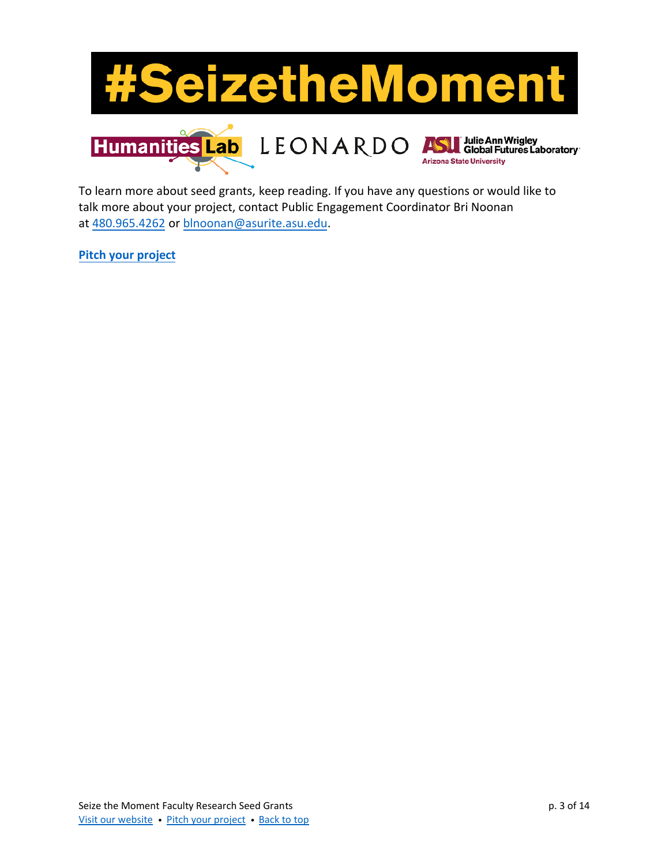

Arizona State University

To learn more about seed grants, keep reading. If you have any questions or would like to talk more about your project, contact Public Engagement Coordinator Bri Noonan at 480.[965.4262](tel:4809654262) or [blnoonan](mailto:blnoonan@asurite.asu.edu)@asurite.asu.edu.

<span id="page-2-0"></span>**[Pitch](https://bit.ly/STMSeedGrantPitch) your project**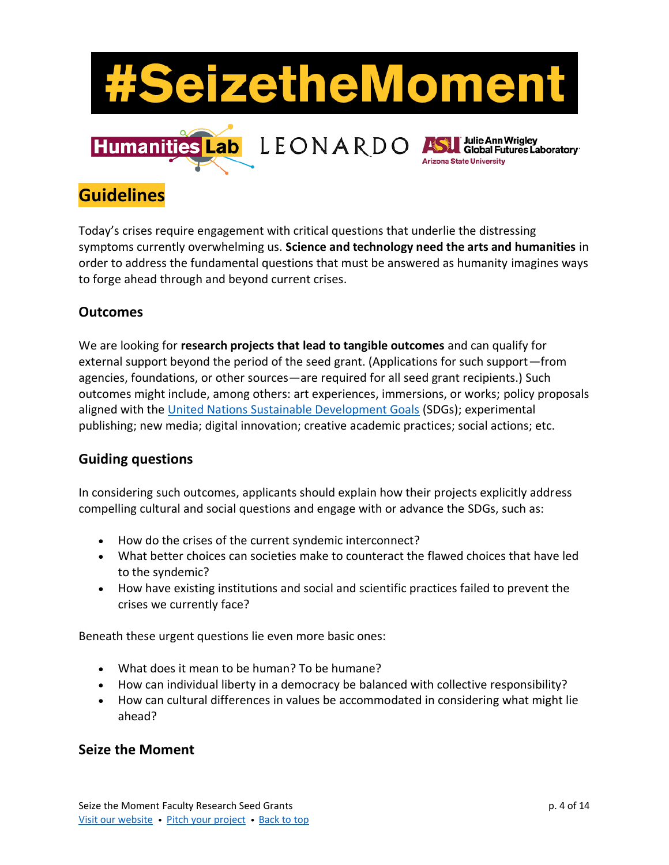

# **Guidelines**

Today's crises require engagement with critical questions that underlie the distressing symptoms currently overwhelming us. **Science and technology need the arts and humanities** in order to address the fundamental questions that must be answered as humanity imagines ways to forge ahead through and beyond current crises.

#### **Outcomes**

We are looking for **research projects that lead to tangible outcomes** and can qualify for external support beyond the period of the seed grant. (Applications for such support—from agencies, foundations, or other sources—are required for all seed grant recipients.) Such outcomes might include, among others: art experiences, immersions, or works; policy proposals aligned with the United Nations [Sustainable Development Goals](https://sdgs.un.org/goals) (SDGs); experimental publishing; new media; digital innovation; creative academic practices; social actions; etc.

#### **Guiding questions**

In considering such outcomes, applicants should explain how their projects explicitly address compelling cultural and social questions and engage with or advance the SDGs, such as:

- How do the crises of the current syndemic interconnect?
- What better choices can societies make to counteract the flawed choices that have led to the syndemic?
- How have existing institutions and social and scientific practices failed to prevent the crises we currently face?

Beneath these urgent questions lie even more basic ones:

- What does it mean to be human? To be humane?
- How can individual liberty in a democracy be balanced with collective responsibility?
- How can cultural differences in values be accommodated in considering what might lie ahead?

## **Seize the Moment**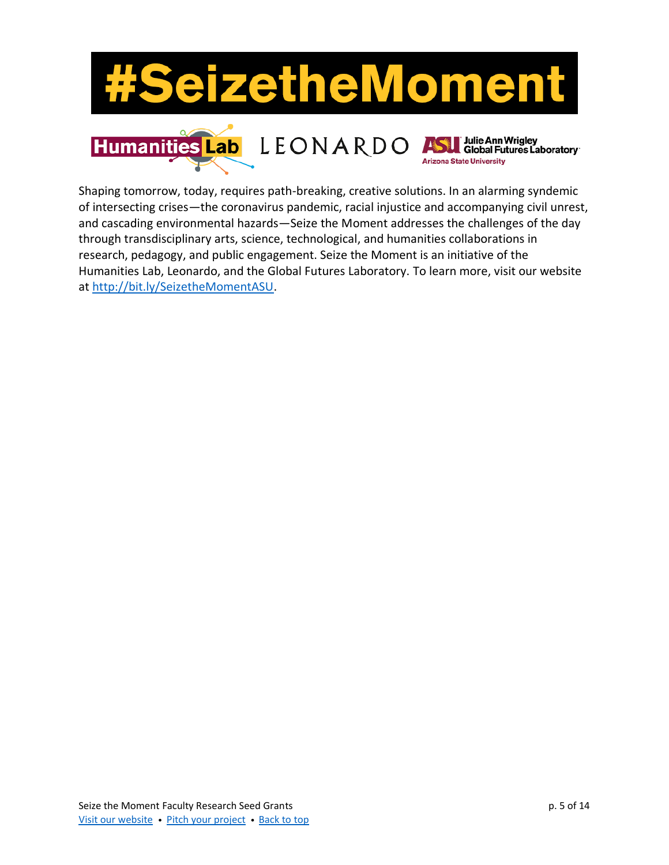

<span id="page-4-0"></span>Shaping tomorrow, today, requires path-breaking, creative solutions. In an alarming syndemic of intersecting crises—the coronavirus pandemic, racial injustice and accompanying civil unrest, and cascading environmental hazards—Seize the Moment addresses the challenges of the day through transdisciplinary arts, science, technological, and humanities collaborations in research, pedagogy, and public engagement. Seize the Moment is an initiative of the Humanities Lab, Leonardo, and the Global Futures Laboratory. To learn more, visit our website at [http://bit.ly/SeizetheMomentASU.](http://bit.ly/SeizetheMomentASU)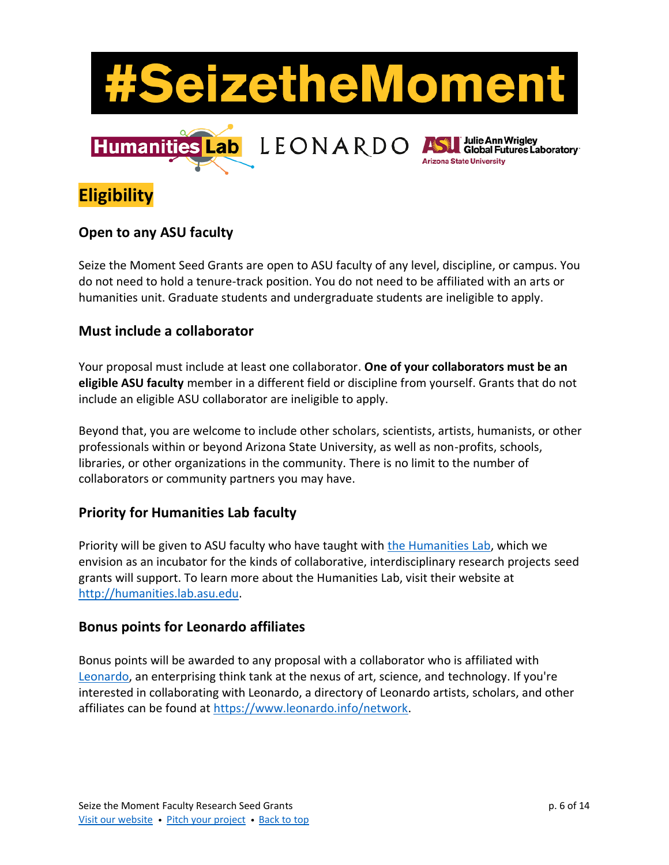

**Eligibility**

#### **Open to any ASU faculty**

Seize the Moment Seed Grants are open to ASU faculty of any level, discipline, or campus. You do not need to hold a tenure-track position. You do not need to be affiliated with an arts or humanities unit. Graduate students and undergraduate students are ineligible to apply.

#### **Must include a collaborator**

Your proposal must include at least one collaborator. **One of your collaborators must be an eligible ASU faculty** member in a different field or discipline from yourself. Grants that do not include an eligible ASU collaborator are ineligible to apply.

Beyond that, you are welcome to include other scholars, scientists, artists, humanists, or other professionals within or beyond Arizona State University, as well as non-profits, schools, libraries, or other organizations in the community. There is no limit to the number of collaborators or community partners you may have.

## **Priority for Humanities Lab faculty**

Priority will be given to ASU faculty who have taught with [the Humanities Lab,](https://humanities.lab.asu.edu/) which we envision as an incubator for the kinds of collaborative, interdisciplinary research projects seed grants will support. To learn more about the Humanities Lab, visit their website at [http://humanities.lab.asu.edu.](http://humanities.lab.asu.edu/)

#### **Bonus points for Leonardo affiliates**

Bonus points will be awarded to any proposal with a collaborator who is affiliated with [Leonardo,](https://www.leonardo.info/) an enterprising think tank at the nexus of art, science, and technology. If you're interested in collaborating with Leonardo, a directory of Leonardo artists, scholars, and other affiliates can be found at [https://www.leonardo.info/network.](https://www.leonardo.info/network)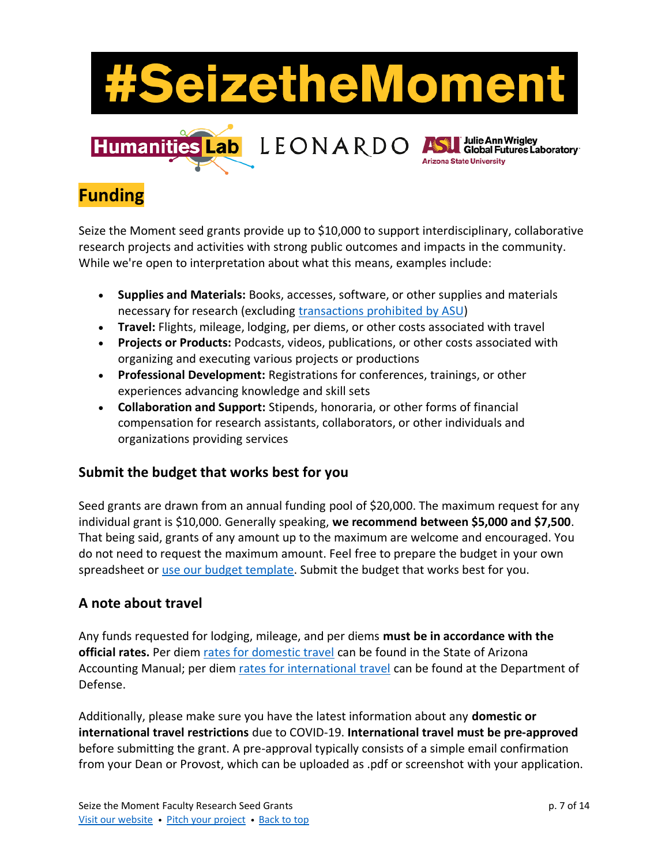

# <span id="page-6-0"></span>**Funding**

Seize the Moment seed grants provide up to \$10,000 to support interdisciplinary, collaborative research projects and activities with strong public outcomes and impacts in the community. While we're open to interpretation about what this means, examples include:

- **Supplies and Materials:** Books, accesses, software, or other supplies and materials necessary for research (excluding [transactions prohibited](https://www.asu.edu/aad/manuals/fin/fin401-03.html) by ASU)
- **Travel:** Flights, mileage, lodging, per diems, or other costs associated with travel
- **Projects or Products:** Podcasts, videos, publications, or other costs associated with organizing and executing various projects or productions
- **Professional Development:** Registrations for conferences, trainings, or other experiences advancing knowledge and skill sets
- **Collaboration and Support:** Stipends, honoraria, or other forms of financial compensation for research assistants, collaborators, or other individuals and organizations providing services

## **Submit the budget that works best for you**

Seed grants are drawn from an annual funding pool of \$20,000. The maximum request for any individual grant is \$10,000. Generally speaking, **we recommend between \$5,000 and \$7,500**. That being said, grants of any amount up to the maximum are welcome and encouraged. You do not need to request the maximum amount. Feel free to prepare the budget in your own spreadsheet or [use our budget template.](file://///sites/default/files/2021-08/STM%252520Seed%252520Grant%252520Budget%252520Template.xlsx) Submit the budget that works best for you.

## **A note about travel**

Any funds requested for lodging, mileage, and per diems **must be in accordance with the official rates.** Per diem [rates for domestic travel](https://www.asu.edu/fs/travel/per-diem-rates.pdf) can be found in the State of Arizona Accounting Manual; per diem [rates for international travel](https://www.defensetravel.dod.mil/site/perdiemCalc.cfm) can be found at the Department of Defense.

Additionally, please make sure you have the latest information about any **domestic or international travel restrictions** due to COVID-19. **International travel must be pre-approved** before submitting the grant. A pre-approval typically consists of a simple email confirmation from your Dean or Provost, which can be uploaded as .pdf or screenshot with your application.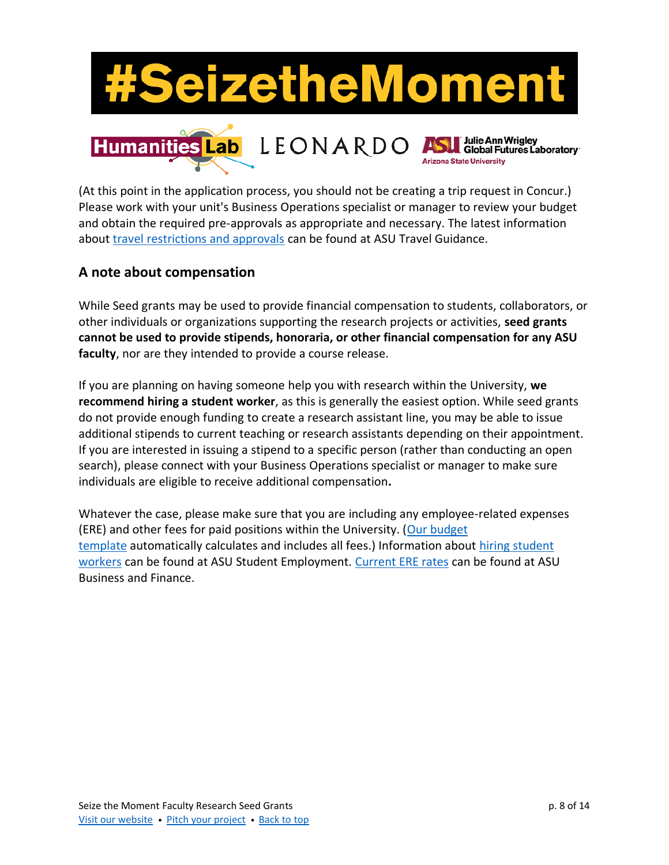

(At this point in the application process, you should not be creating a trip request in Concur.) Please work with your unit's Business Operations specialist or manager to review your budget and obtain the required pre-approvals as appropriate and necessary. The latest information about [travel restrictions and approvals](https://cfo.asu.edu/domestic-travel-guidance) can be found at ASU Travel Guidance.

#### <span id="page-7-0"></span>**A note about compensation**

While Seed grants may be used to provide financial compensation to students, collaborators, or other individuals or organizations supporting the research projects or activities, **seed grants cannot be used to provide stipends, honoraria, or other financial compensation for any ASU faculty**, nor are they intended to provide a course release.

If you are planning on having someone help you with research within the University, **we recommend hiring a student worker**, as this is generally the easiest option. While seed grants do not provide enough funding to create a research assistant line, you may be able to issue additional stipends to current teaching or research assistants depending on their appointment. If you are interested in issuing a stipend to a specific person (rather than conducting an open search), please connect with your Business Operations specialist or manager to make sure individuals are eligible to receive additional compensation**.**

Whatever the case, please make sure that you are including any employee-related expenses (ERE) and other fees for paid positions within the University. [\(Our budget](file://///sites/default/files/2021-08/STM%252520Seed%252520Grant%252520Budget%252520Template.xlsx)  [template](file://///sites/default/files/2021-08/STM%252520Seed%252520Grant%252520Budget%252520Template.xlsx) automatically calculates and includes all fees.) Information about [hiring student](https://students.asu.edu/employment)  [workers](https://students.asu.edu/employment) can be found at ASU Student Employment. [Current ERE rates](https://cfo.asu.edu/employee-related-expenses-rates) can be found at ASU Business and Finance.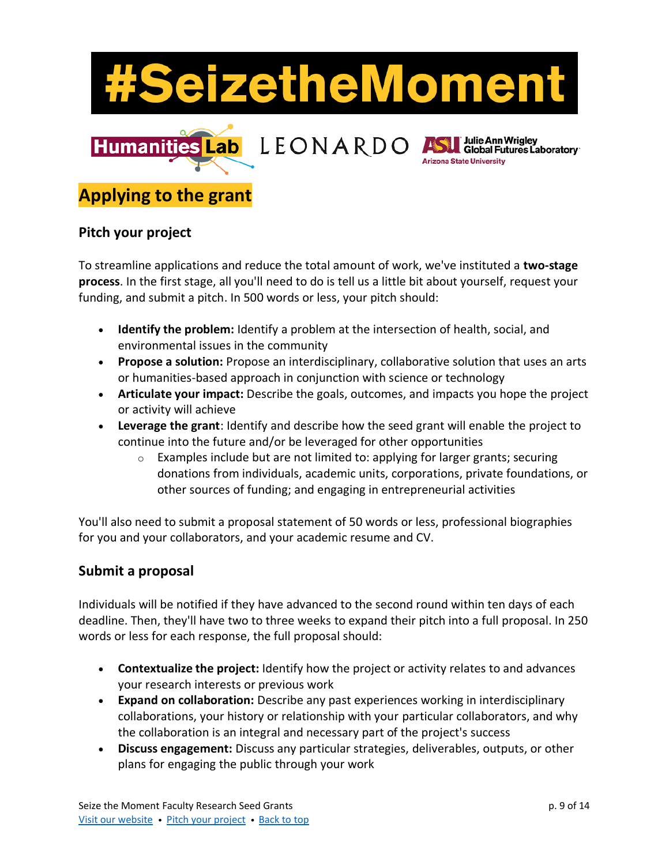

# **Applying to the grant**

#### **Pitch your project**

To streamline applications and reduce the total amount of work, we've instituted a **two-stage process**. In the first stage, all you'll need to do is tell us a little bit about yourself, request your funding, and submit a pitch. In 500 words or less, your pitch should:

- **Identify the problem:** Identify a problem at the intersection of health, social, and environmental issues in the community
- **Propose a solution:** Propose an interdisciplinary, collaborative solution that uses an arts or humanities-based approach in conjunction with science or technology
- **Articulate your impact:** Describe the goals, outcomes, and impacts you hope the project or activity will achieve
- **Leverage the grant**: Identify and describe how the seed grant will enable the project to continue into the future and/or be leveraged for other opportunities
	- $\circ$  Examples include but are not limited to: applying for larger grants; securing donations from individuals, academic units, corporations, private foundations, or other sources of funding; and engaging in entrepreneurial activities

You'll also need to submit a proposal statement of 50 words or less, professional biographies for you and your collaborators, and your academic resume and CV.

#### **Submit a proposal**

Individuals will be notified if they have advanced to the second round within ten days of each deadline. Then, they'll have two to three weeks to expand their pitch into a full proposal. In 250 words or less for each response, the full proposal should:

- **Contextualize the project:** Identify how the project or activity relates to and advances your research interests or previous work
- **Expand on collaboration:** Describe any past experiences working in interdisciplinary collaborations, your history or relationship with your particular collaborators, and why the collaboration is an integral and necessary part of the project's success
- **Discuss engagement:** Discuss any particular strategies, deliverables, outputs, or other plans for engaging the public through your work

Global Futures Laboratory

**Arizona State University**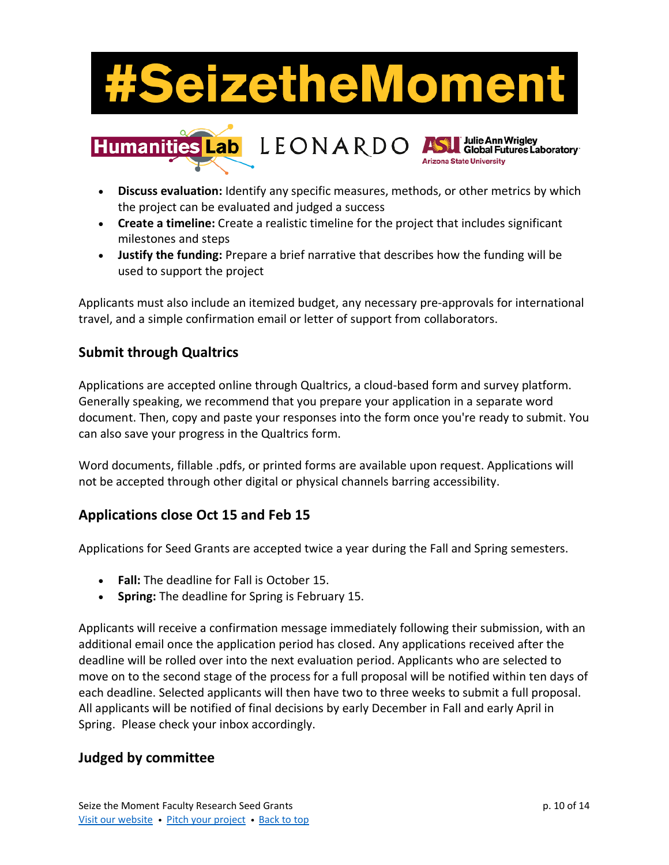# eizetheMoment



- **Discuss evaluation:** Identify any specific measures, methods, or other metrics by which the project can be evaluated and judged a success
- **Create a timeline:** Create a realistic timeline for the project that includes significant milestones and steps
- **Justify the funding:** Prepare a brief narrative that describes how the funding will be used to support the project

Applicants must also include an itemized budget, any necessary pre-approvals for international travel, and a simple confirmation email or letter of support from collaborators.

## **Submit through Qualtrics**

Applications are accepted online through Qualtrics, a cloud-based form and survey platform. Generally speaking, we recommend that you prepare your application in a separate word document. Then, copy and paste your responses into the form once you're ready to submit. You can also save your progress in the Qualtrics form.

Word documents, fillable .pdfs, or printed forms are available upon request. Applications will not be accepted through other digital or physical channels barring accessibility.

#### **Applications close Oct 15 and Feb 15**

Applications for Seed Grants are accepted twice a year during the Fall and Spring semesters.

- **Fall:** The deadline for Fall is October 15.
- **Spring:** The deadline for Spring is February 15.

Applicants will receive a confirmation message immediately following their submission, with an additional email once the application period has closed. Any applications received after the deadline will be rolled over into the next evaluation period. Applicants who are selected to move on to the second stage of the process for a full proposal will be notified within ten days of each deadline. Selected applicants will then have two to three weeks to submit a full proposal. All applicants will be notified of final decisions by early December in Fall and early April in Spring. Please check your inbox accordingly.

#### **Judged by committee**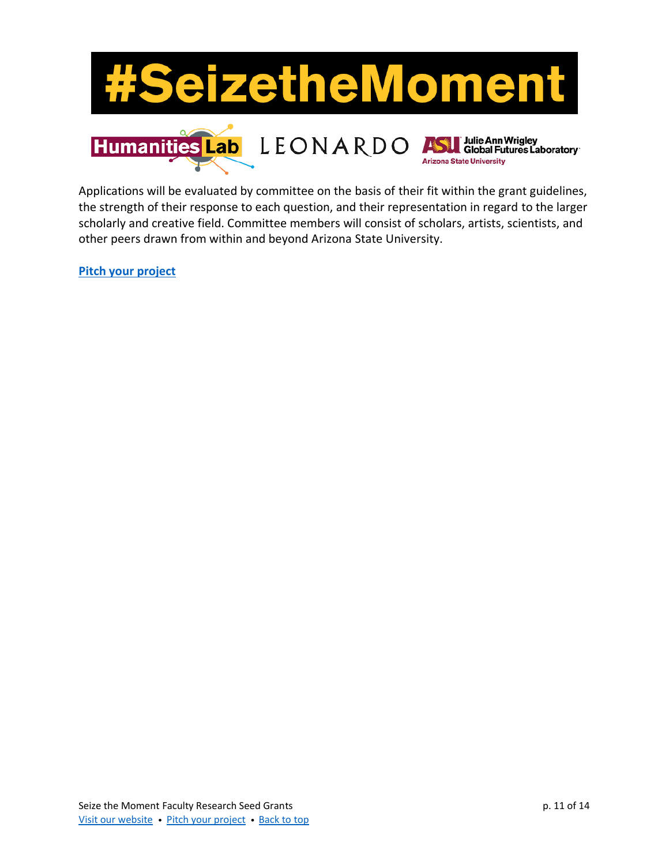

Applications will be evaluated by committee on the basis of their fit within the grant guidelines, the strength of their response to each question, and their representation in regard to the larger scholarly and creative field. Committee members will consist of scholars, artists, scientists, and other peers drawn from within and beyond Arizona State University.

**[Pitch your project](https://bit.ly/STMSeedGrantPitch)**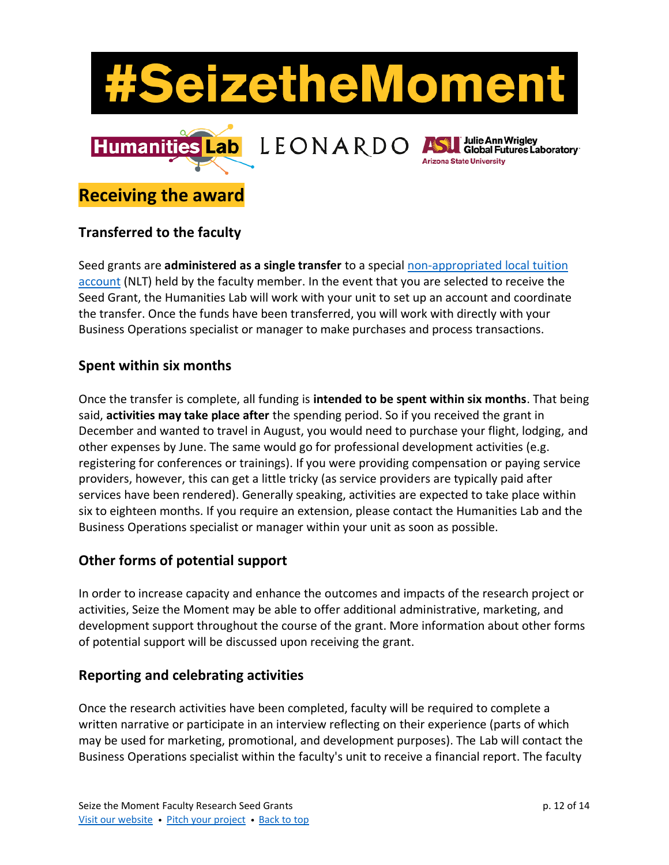

# <span id="page-11-0"></span>**Receiving the award**

## **Transferred to the faculty**

Seed grants are **administered as a single transfer** to a special [non-appropriated local tuition](https://cfo.asu.edu/non-appropriated-local-tuition-accounts)  [account](https://cfo.asu.edu/non-appropriated-local-tuition-accounts) (NLT) held by the faculty member. In the event that you are selected to receive the Seed Grant, the Humanities Lab will work with your unit to set up an account and coordinate the transfer. Once the funds have been transferred, you will work with directly with your Business Operations specialist or manager to make purchases and process transactions.

#### **Spent within six months**

Once the transfer is complete, all funding is **intended to be spent within six months**. That being said, **activities may take place after** the spending period. So if you received the grant in December and wanted to travel in August, you would need to purchase your flight, lodging, and other expenses by June. The same would go for professional development activities (e.g. registering for conferences or trainings). If you were providing compensation or paying service providers, however, this can get a little tricky (as service providers are typically paid after services have been rendered). Generally speaking, activities are expected to take place within six to eighteen months. If you require an extension, please contact the Humanities Lab and the Business Operations specialist or manager within your unit as soon as possible.

## **Other forms of potential support**

In order to increase capacity and enhance the outcomes and impacts of the research project or activities, Seize the Moment may be able to offer additional administrative, marketing, and development support throughout the course of the grant. More information about other forms of potential support will be discussed upon receiving the grant.

#### **Reporting and celebrating activities**

Once the research activities have been completed, faculty will be required to complete a written narrative or participate in an interview reflecting on their experience (parts of which may be used for marketing, promotional, and development purposes). The Lab will contact the Business Operations specialist within the faculty's unit to receive a financial report. The faculty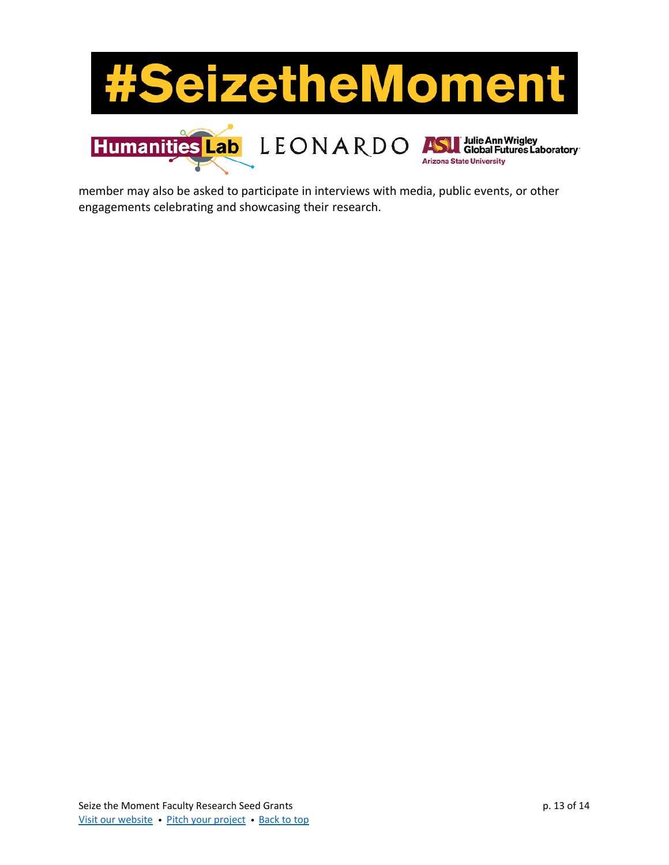

member may also be asked to participate in interviews with media, public events, or other engagements celebrating and showcasing their research.